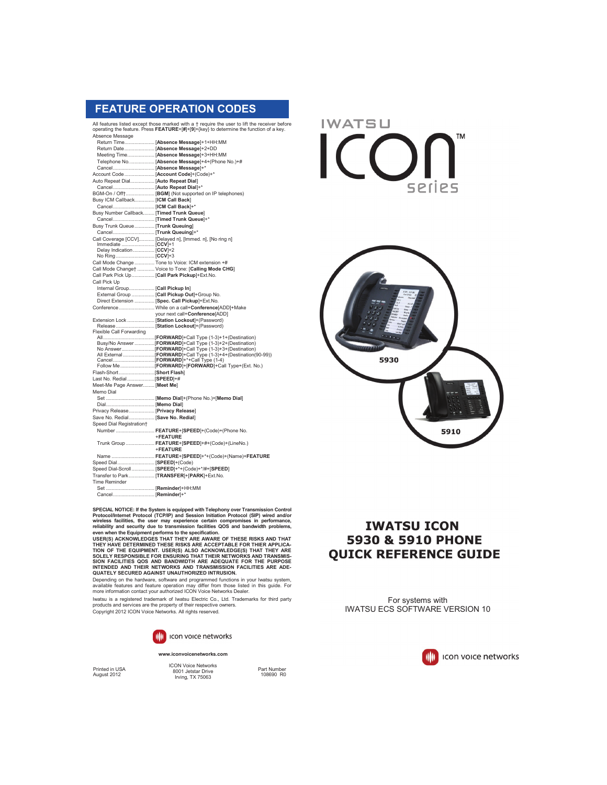## **FEATURE OPERATION CODES**

All features listed except those marked with a † require the user to lift the receiver before operating the feature. Press **FEATURE**+[**#**]+[**9**]+{key} to determine the function of a key. Absence Message

|                                              | Meeting Time [Absence Message]+3+HH:MM                        |
|----------------------------------------------|---------------------------------------------------------------|
|                                              | Telephone No [Absence Message]+4+(Phone No.)+#                |
|                                              |                                                               |
| Account Code  [Account Code]+(Code)+*        |                                                               |
| Auto Repeat Dial [Auto Repeat Dial]          |                                                               |
|                                              |                                                               |
|                                              | BGM-On / Off+ [BGM] (Not supported on IP telephones)          |
| Busy ICM Callback [ICM Call Back]            |                                                               |
|                                              |                                                               |
| Busy Number Callback [Timed Trunk Queue]     |                                                               |
|                                              |                                                               |
| Busy Trunk Queue [Trunk Queuing]             |                                                               |
|                                              |                                                               |
|                                              | Call Coverage [CCV] [Delayed n], [Immed. n], [No ring n]      |
|                                              |                                                               |
| Delay Indication  [CCV]+2                    |                                                               |
|                                              |                                                               |
|                                              | Call Mode Change  Tone to Voice: ICM extension +#             |
|                                              | Call Mode Change†  Voice to Tone: [Calling Mode CHG]          |
| Call Park Pick Up [Call Park Pickup]+Ext.No. |                                                               |
| Call Pick Up                                 |                                                               |
| Internal Group [Call Pickup In]              |                                                               |
|                                              | External Group  [Call Pickup Out]+Group No.                   |
|                                              | Direct Extension  [Spec. Call Pickup]+Ext.No.                 |
|                                              | Conference While on a call+Conference[ADD]+Make               |
|                                              | your next call+Conference[ADD]                                |
|                                              | Extension Lock  [Station Lockout]+(Password)                  |
| Flexible Call Forwarding                     | Release  [Station Lockout]+(Password)                         |
|                                              |                                                               |
|                                              | Busy/No Answer  [FORWARD]+Call Type (1-3)+2+(Destination)     |
|                                              |                                                               |
|                                              | All External [FORWARD]+Call Type (1-3)+4+(Destination(90-99)) |
|                                              |                                                               |
|                                              |                                                               |
|                                              |                                                               |
| Last No. Redial  [SPEED]+#                   |                                                               |
| Meet-Me Page Answer [Meet Me]                |                                                               |
| Memo Dial                                    |                                                               |
|                                              |                                                               |
|                                              |                                                               |
| Privacy Release [Privacy Release]            |                                                               |
| Save No. Redial [Save No. Redial]            |                                                               |
| Speed Dial Registration+                     |                                                               |
|                                              | Number  FEATURE+[SPEED]+(Code)+(Phone No.                     |
|                                              | +FEATURE                                                      |
|                                              | Trunk Group  FEATURE+[SPEED]+#+(Code)+(LineNo.)               |
|                                              | +FEATURE                                                      |
|                                              | Name  FEATURE+[SPEED]+*+(Code)+(Name)+FEATURE                 |
| Speed Dial [SPEED]+(Code)                    |                                                               |
|                                              | Speed Dial-Scroll [SPEED]+*+(Code)+*/#+[SPEED]                |
|                                              | Transfer to Park [TRANSFER]+[PARK]+Ext.No.                    |
| <b>Time Reminder</b>                         |                                                               |
|                                              |                                                               |
|                                              |                                                               |

SPECIAL NOTICE: If the System is equipped with Telephony over Transmission Control Protocol/Internet Protocol (TCP/IP) and Session Initiation Protocol (SIP) wired and/or<br>wireless facilities, the user may experience certain

SION FACILITIES QOS AND BANDWIDTH ARE ADEQUATE FOR THE PURPOSE<br>INTENDED AND THEIR NETWORKS AND TRANSMISSION FACILITIES ARE ADE-<br>QUATELY SECURED AGAINST UNAUTHORIZED INTRUSION.

Depending on the hardware, software and programmed functions in your Iwatsu system,<br>available features and feature operation may differ from those listed in this guide. For<br>more information contact your authorized ICON Voi

Iwatsu is a registered trademark of Iwatsu Electric Co., Ltd. Trademarks for third party products and services are the property of their respective owners. Copyright 2012 ICON Voice Networks. All rights reserved.



#### **www.iconvoicenetworks.com**

Printed in USA August 2012

ICON Voice Networks 8001 Jetstar Drive Irving, TX 75063

Part Number 108690 R0

**IWATSU TM**  $\bigcap$ SPIIPS



# **IWATSU ICON** 5930 & 5910 PHONE **QUICK REFERENCE GUIDE**

For systems with IWATSU ECS SOFTWARE VERSION 10

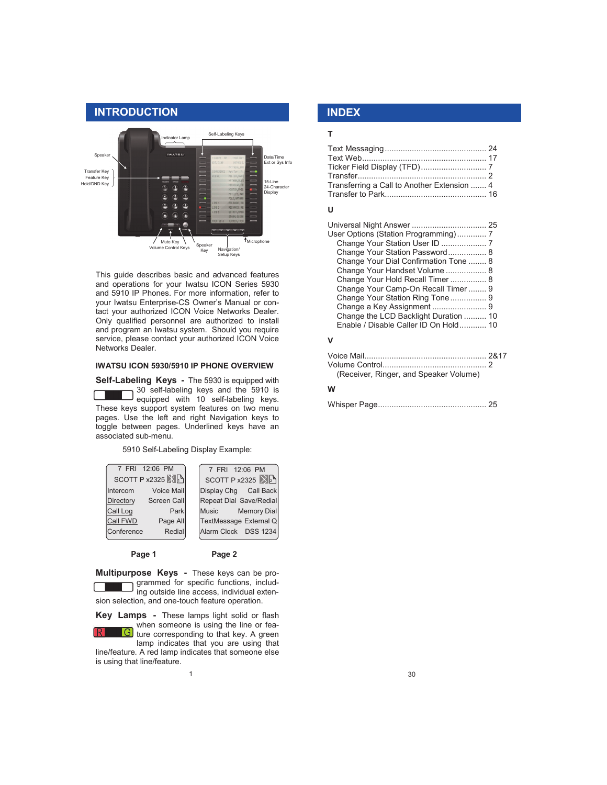

This guide describes basic and advanced features and operations for your Iwatsu ICON Series 5930 and 5910 IP Phones. For more information, refer to your Iwatsu Enterprise-CS Owner's Manual or contact your authorized ICON Voice Networks Dealer. Only qualified personnel are authorized to install and program an Iwatsu system. Should you require service, please contact your authorized ICON Voice Networks Dealer.

## **IWATSU ICON 5930/5910 IP PHONE OVERVIEW**

**Self-Labeling Keys -** The 5930 is equipped with 30 self-labeling keys and the 5910 is equipped with 10 self-labeling keys. These keys support system features on two menu pages. Use the left and right Navigation keys to toggle between pages. Underlined keys have an associated sub-menu.

5910 Self-Labeling Display Example:



Page 1 Page 2

**Multipurpose Keys -** These keys can be programmed for specific functions, including outside line access, individual extension selection, and one-touch feature operation.

**Key Lamps -** These lamps light solid or flash when someone is using the line or fea-G ture corresponding to that key. A green

lamp indicates that you are using that line/feature. A red lamp indicates that someone else is using that line/feature.

1

## **T**

 **INDEX**

| Transferring a Call to Another Extension  4 |  |
|---------------------------------------------|--|

## **U**

| User Options (Station Programming) 7  |  |
|---------------------------------------|--|
| Change Your Station User ID  7        |  |
| Change Your Station Password 8        |  |
| Change Your Dial Confirmation Tone  8 |  |
| Change Your Handset Volume  8         |  |
| Change Your Hold Recall Timer  8      |  |
| Change Your Camp-On Recall Timer  9   |  |
| Change Your Station Ring Tone 9       |  |
| Change a Key Assignment  9            |  |
| Change the LCD Backlight Duration  10 |  |
| Enable / Disable Caller ID On Hold 10 |  |
|                                       |  |

## **V**

| (Receiver, Ringer, and Speaker Volume) |  |
|----------------------------------------|--|
|                                        |  |

#### **W**

|--|--|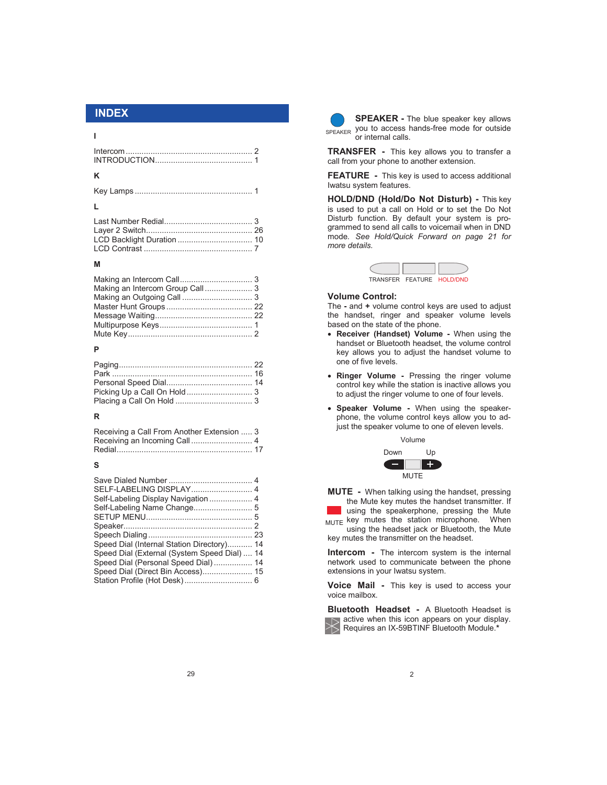## **I**

## **K**

| Last Number Redia [ <i>[11]</i> Redia [ <i>[11]</i> $\frac{1}{3}$ [ <i>12]</i> $\frac{1}{3}$ |  |
|----------------------------------------------------------------------------------------------|--|
|                                                                                              |  |
|                                                                                              |  |
|                                                                                              |  |

#### **M**

## **P**

#### **R**

| Receiving a Call From Another Extension  3 |  |
|--------------------------------------------|--|
|                                            |  |
|                                            |  |

#### **S**

| SELF-LABELING DISPLAY 4                      |  |
|----------------------------------------------|--|
| Self-Labeling Display Navigation  4          |  |
|                                              |  |
|                                              |  |
|                                              |  |
|                                              |  |
| Speed Dial (Internal Station Directory) 14   |  |
| Speed Dial (External (System Speed Dial)  14 |  |
| Speed Dial (Personal Speed Dial) 14          |  |
| Speed Dial (Direct Bin Access) 15            |  |
|                                              |  |



**INDEX SPEAKER -** The blue speaker key allows SPEAKER you to access hands-free mode for outside or internal calls.

> **TRANSFER -** This key allows you to transfer a call from your phone to another extension.

> **FEATURE -** This key is used to access additional Iwatsu system features.

> **HOLD/DND (Hold/Do Not Disturb) -** This key is used to put a call on Hold or to set the Do Not Disturb function. By default your system is programmed to send all calls to voicemail when in DND mode. *See Hold/Quick Forward on page 21 for more details.*



#### **Volume Control:**

The **-** and **+** volume control keys are used to adjust the handset, ringer and speaker volume levels based on the state of the phone.

- **Receiver (Handset) Volume -** When using the handset or Bluetooth headset, the volume control key allows you to adjust the handset volume to one of five levels.
- **Ringer Volume -** Pressing the ringer volume control key while the station is inactive allows you to adjust the ringer volume to one of four levels.
- **Speaker Volume -** When using the speakerphone, the volume control keys allow you to adjust the speaker volume to one of eleven levels.



**MUTE -** When talking using the handset, pressing the Mute key mutes the handset transmitter. If

using the speakerphone, pressing the Mute MUTE key mutes the station microphone. When using the headset jack or Bluetooth, the Mute key mutes the transmitter on the headset.

**Intercom -** The intercom system is the internal network used to communicate between the phone extensions in your Iwatsu system.

**Voice Mail -** This key is used to access your voice mailbox.

**Bluetooth Headset -** A Bluetooth Headset is  $\sum$  active when this icon appears on your display. Requires an IX-59BTINF Bluetooth Module.**\***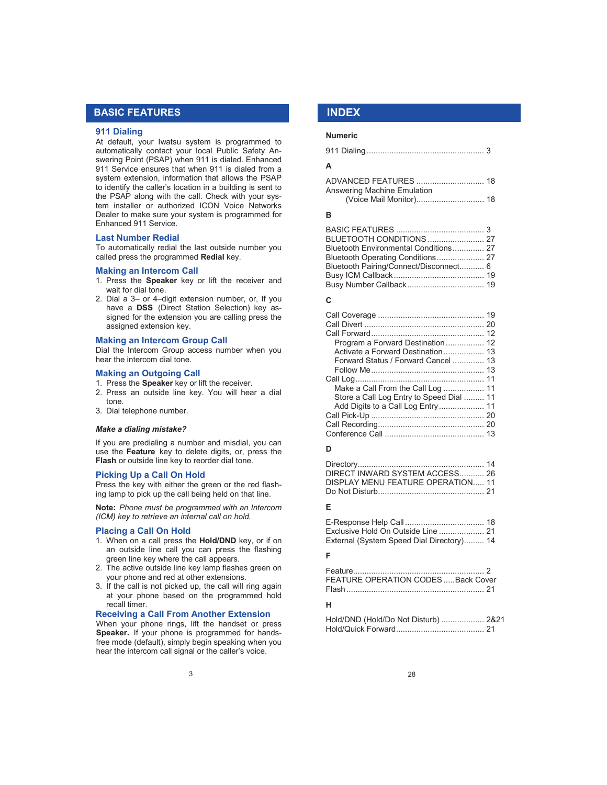## **BASIC FEATURES**

#### **911 Dialing**

At default, your Iwatsu system is programmed to automatically contact your local Public Safety Answering Point (PSAP) when 911 is dialed. Enhanced 911 Service ensures that when 911 is dialed from a system extension, information that allows the PSAP to identify the caller's location in a building is sent to the PSAP along with the call. Check with your system installer or authorized ICON Voice Networks Dealer to make sure your system is programmed for Enhanced 911 Service.

#### **Last Number Redial**

To automatically redial the last outside number you called press the programmed **Redial** key.

#### **Making an Intercom Call**

- 1. Press the **Speaker** key or lift the receiver and wait for dial tone.
- 2. Dial a 3– or 4–digit extension number, or, If you have a **DSS** (Direct Station Selection) key assigned for the extension you are calling press the assigned extension key.

#### **Making an Intercom Group Call**

Dial the Intercom Group access number when you hear the intercom dial tone.

#### **Making an Outgoing Call**

- 1. Press the **Speaker** key or lift the receiver.
- 2. Press an outside line key. You will hear a dial tone.
- 3. Dial telephone number.

#### *Make a dialing mistake?*

If you are predialing a number and misdial, you can use the **Feature** key to delete digits, or, press the **Flash** or outside line key to reorder dial tone.

#### **Picking Up a Call On Hold**

Press the key with either the green or the red flashing lamp to pick up the call being held on that line.

**Note:** *Phone must be programmed with an Intercom (ICM) key to retrieve an internal call on hold.* 

#### **Placing a Call On Hold**

- 1. When on a call press the **Hold/DND** key, or if on an outside line call you can press the flashing green line key where the call appears.
- 2. The active outside line key lamp flashes green on your phone and red at other extensions.
- 3. If the call is not picked up, the call will ring again at your phone based on the programmed hold recall timer.

#### **Receiving a Call From Another Extension**

When your phone rings, lift the handset or press **Speaker.** If your phone is programmed for handsfree mode (default), simply begin speaking when you hear the intercom call signal or the caller's voice.

## **INDEX**

#### **Numeric**

|--|--|--|--|--|--|--|--|

#### **A**

| Answering Machine Emulation |  |
|-----------------------------|--|
|                             |  |

#### **B**

| Bluetooth Environmental Conditions 27  |  |
|----------------------------------------|--|
|                                        |  |
| Bluetooth Pairing/Connect/Disconnect 6 |  |
|                                        |  |
|                                        |  |

## **C**

| Program a Forward Destination 12         |  |
|------------------------------------------|--|
| Activate a Forward Destination 13        |  |
| Forward Status / Forward Cancel  13      |  |
|                                          |  |
|                                          |  |
| Make a Call From the Call Log  11        |  |
| Store a Call Log Entry to Speed Dial  11 |  |
|                                          |  |
|                                          |  |
|                                          |  |
|                                          |  |

#### **D**

#### Directory........................................................ 14 DIRECT INWARD SYSTEM ACCESS........... 26 DISPLAY MENU FEATURE OPERATION..... 11 Do Not Disturb............................................... 21

## **E**

| Exclusive Hold On Outside Line  21        |  |
|-------------------------------------------|--|
| External (System Speed Dial Directory) 14 |  |

## **F**

| <b>FEATURE OPERATION CODES  Back Cover</b> |
|--------------------------------------------|
|                                            |
|                                            |

## **H**

| Hold/DND (Hold/Do Not Disturb)  2&21 |  |
|--------------------------------------|--|
|                                      |  |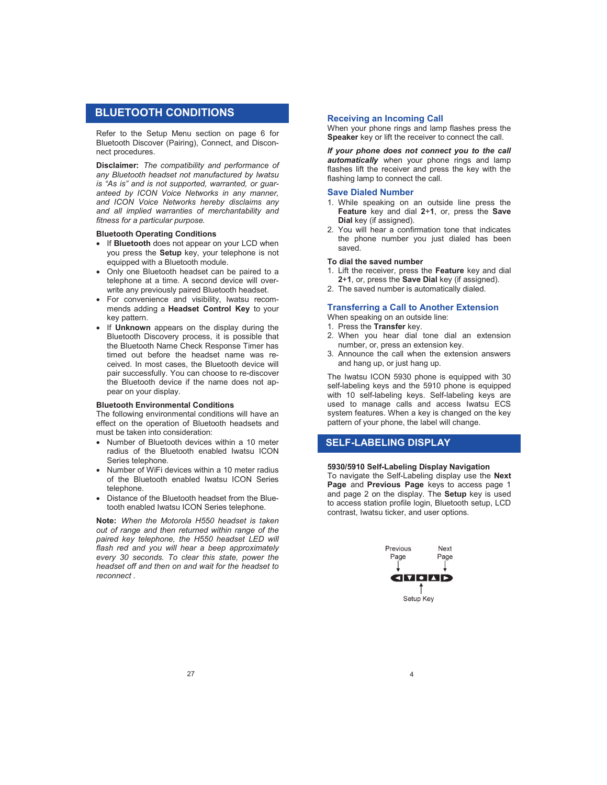## **BLUETOOTH CONDITIONS**

Refer to the Setup Menu section on page 6 for Bluetooth Discover (Pairing), Connect, and Disconnect procedures.

**Disclaimer:** *The compatibility and performance of any Bluetooth headset not manufactured by Iwatsu is "As is" and is not supported, warranted, or guaranteed by ICON Voice Networks in any manner, and ICON Voice Networks hereby disclaims any and all implied warranties of merchantability and fitness for a particular purpose.*

#### **Bluetooth Operating Conditions**

- **If Bluetooth** does not appear on your LCD when you press the **Setup** key, your telephone is not equipped with a Bluetooth module.
- Only one Bluetooth headset can be paired to a telephone at a time. A second device will overwrite any previously paired Bluetooth headset.
- For convenience and visibility, Iwatsu recommends adding a **Headset Control Key** to your key pattern.
- If **Unknown** appears on the display during the Bluetooth Discovery process, it is possible that the Bluetooth Name Check Response Timer has timed out before the headset name was received. In most cases, the Bluetooth device will pair successfully. You can choose to re-discover the Bluetooth device if the name does not appear on your display.

#### **Bluetooth Environmental Conditions**

The following environmental conditions will have an effect on the operation of Bluetooth headsets and must be taken into consideration:

- Number of Bluetooth devices within a 10 meter radius of the Bluetooth enabled Iwatsu ICON Series telephone.
- Number of WiFi devices within a 10 meter radius of the Bluetooth enabled Iwatsu ICON Series telephone.
- Distance of the Bluetooth headset from the Bluetooth enabled Iwatsu ICON Series telephone.

**Note:** *When the Motorola H550 headset is taken out of range and then returned within range of the paired key telephone, the H550 headset LED will flash red and you will hear a beep approximately every 30 seconds. To clear this state, power the headset off and then on and wait for the headset to reconnect .*

#### **Receiving an Incoming Call**

When your phone rings and lamp flashes press the **Speaker** key or lift the receiver to connect the call.

*If your phone does not connect you to the call automatically* when your phone rings and lamp flashes lift the receiver and press the key with the flashing lamp to connect the call.

#### **Save Dialed Number**

- 1. While speaking on an outside line press the **Feature** key and dial **2**+**1**, or, press the **Save Dial** key (if assigned).
- 2. You will hear a confirmation tone that indicates the phone number you just dialed has been saved.

#### **To dial the saved number**

- 1. Lift the receiver, press the **Feature** key and dial **2**+**1**, or, press the **Save Dial** key (if assigned).
- 2. The saved number is automatically dialed.

#### **Transferring a Call to Another Extension**

When speaking on an outside line:

- 1. Press the **Transfer** key.
- 2. When you hear dial tone dial an extension number, or, press an extension key.
- 3. Announce the call when the extension answers and hang up, or just hang up.

The Iwatsu ICON 5930 phone is equipped with 30 self-labeling keys and the 5910 phone is equipped with 10 self-labeling keys. Self-labeling keys are used to manage calls and access Iwatsu ECS system features. When a key is changed on the key pattern of your phone, the label will change.

## **SELF-LABELING DISPLAY**

## **5930/5910 Self-Labeling Display Navigation**

To navigate the Self-Labeling display use the **Next Page** and **Previous Page** keys to access page 1 and page 2 on the display. The **Setup** key is used to access station profile login, Bluetooth setup, LCD contrast, Iwatsu ticker, and user options.

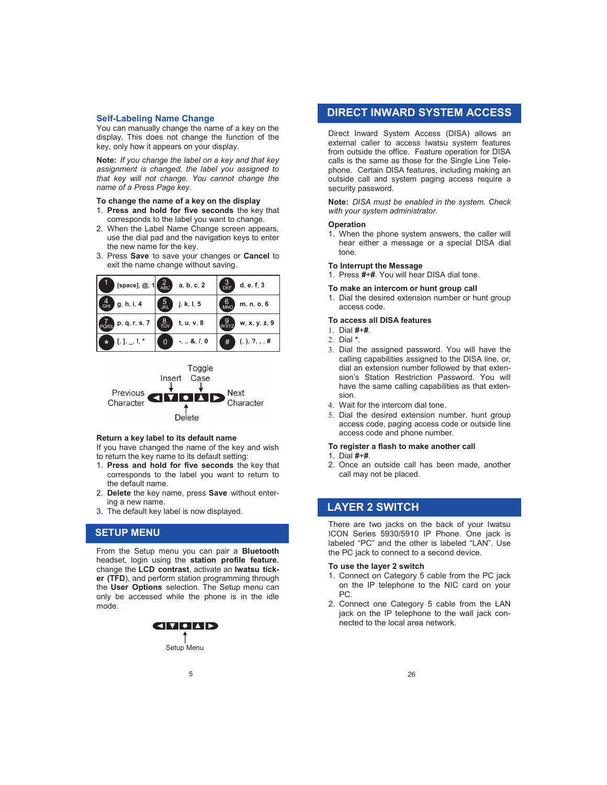#### **Self-Labeling Name Change**

You can manually change the name of a key on the display. This does not change the function of the key, only how it appears on your display.

**Note:** *If you change the label on a key and that key assignment is changed, the label you assigned to that key will not change. You cannot change the name of a Press Page key.*

#### **To change the name of a key on the display**

- 1. **Press and hold for five seconds** the key that corresponds to the label you want to change.
- 2. When the Label Name Change screen appears, use the dial pad and the navigation keys to enter the new name for the key.
- 3. Press **Save** to save your changes or **Cancel** to exit the name change without saving.



Toggle Case Insert Previous **Next** M Character Character Delete

#### **Return a key label to its default name**

If you have changed the name of the key and wish to return the key name to its default setting:

- 1. **Press and hold for five seconds** the key that corresponds to the label you want to return to the default name.
- 2. **Delete** the key name, press **Save** without entering a new name.
- 3. The default key label is now displayed.

## **SETUP MENU**

From the Setup menu you can pair a **Bluetooth** headset, login using the **station profile feature**, change the **LCD contrast**, activate an **Iwatsu ticker (TFD**), and perform station programming through the **User Options** selection. The Setup menu can only be accessed while the phone is in the idle mode. Setup Menu Setup Menu Setup Menu<br>
Setup Menu Setup Menu Setup Menu Setup Menu Setup Menu Setup Menu Setup Menu Setup Menu Setup Menu<br>
Setup Menu Menu Setup Menu<br>
Setup Menu Menu Menu Setup Menu<br>
Setup Menu

# **GITIO AD**

Setup Menu

## **DIRECT INWARD SYSTEM ACCESS**

Direct Inward System Access (DISA) allows an external caller to access Iwatsu system features from outside the office. Feature operation for DISA calls is the same as those for the Single Line Telephone. Certain DISA features, including making an outside call and system paging access require a security password.

**Note:** *DISA must be enabled in the system. Check with your system administrator.*

#### **Operation**

1. When the phone system answers, the caller will hear either a message or a special DISA dial tone.

#### **To Interrupt the Message**

1. Press **#**+**#**. You will hear DISA dial tone.

#### **To make an intercom or hunt group call**

1. Dial the desired extension number or hunt group access code.

#### **To access all DISA features**

- Dial **#**+**#**.
- Dial **\***.
- 3. Dial the assigned password. You will have the calling capabilities assigned to the DISA line, or, dial an extension number followed by that extension's Station Restriction Password. You will have the same calling capabilities as that extension.
- Wait for the intercom dial tone.
- 5. Dial the desired extension number, hunt group access code, paging access code or outside line access code and phone number.

#### **To register a flash to make another call**

- 1. Dial **#**+**#**.
- 2. Once an outside call has been made, another call may not be placed.

## **LAYER 2 SWITCH**

There are two jacks on the back of your Iwatsu ICON Series 5930/5910 IP Phone. One jack is labeled "PC" and the other is labeled "LAN". Use the PC jack to connect to a second device.

#### **To use the layer 2 switch**

- 1. Connect on Category 5 cable from the PC jack on the IP telephone to the NIC card on your PC.
- 2. Connect one Category 5 cable from the LAN jack on the IP telephone to the wall jack connected to the local area network.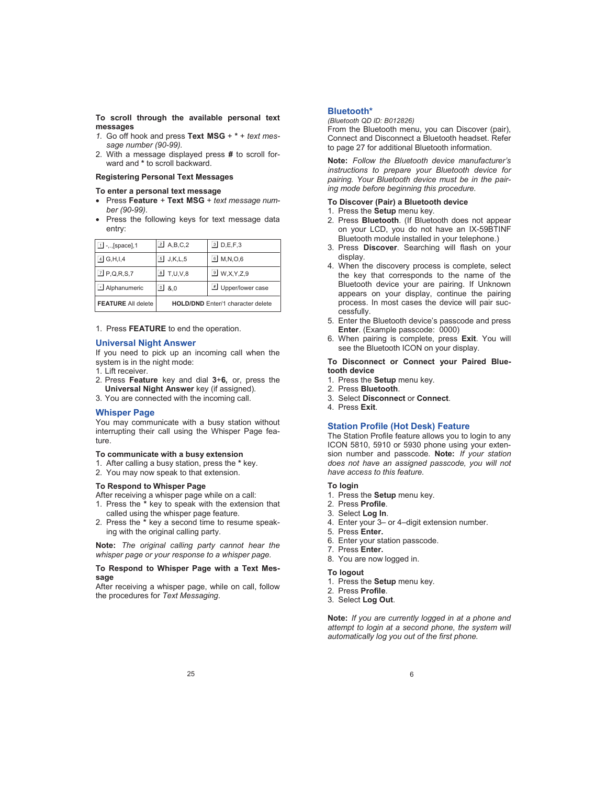**To scroll through the available personal text messages**

- *1.* Go off hook and press **Text MSG** + **\*** + *text message number (90-99).*
- 2. With a message displayed press **#** to scroll forward and **\*** to scroll backward.

## **Registering Personal Text Messages**

- **To enter a personal text message**
- Press **Feature** + **Text MSG** + *text message number (90-99)*.
- Press the following keys for text message data entry:

| $\Box$ -,, [space], 1     | $\boxed{2}$ A, B, C, 2                   | $1$ D,E,F,3               |
|---------------------------|------------------------------------------|---------------------------|
| $\overline{4}$ G, H, I, 4 | $5$ J,K,L,5                              | $\Box$ M, N, O, 6         |
| $\boxed{7}$ P,Q,R,S,7     | <b>B</b> T,U,V,8                         | $\boxed{9}$ W, X, Y, Z, 9 |
| Alphanumeric              | ച &.o                                    | Upper/lower case          |
| <b>FEATURE All delete</b> | <b>HOLD/DND</b> Enter/1 character delete |                           |

1. Press **FEATURE** to end the operation.

#### **Universal Night Answer**

If you need to pick up an incoming call when the system is in the night mode:

1. Lift receiver.

- 2. Press **Feature** key and dial **3**+**6,** or, press the **Universal Night Answer** key (if assigned).
- 3. You are connected with the incoming call.

## **Whisper Page**

You may communicate with a busy station without interrupting their call using the Whisper Page feature.

#### **To communicate with a busy extension**

- 1. After calling a busy station, press the **\*** key.
- 2. You may now speak to that extension.

#### **To Respond to Whisper Page**

After receiving a whisper page while on a call:

- 1. Press the **\*** key to speak with the extension that called using the whisper page feature.
- 2. Press the **\*** key a second time to resume speaking with the original calling party.

**Note:** *The original calling party cannot hear the whisper page or your response to a whisper page.*

#### **To Respond to Whisper Page with a Text Message**

After receiving a whisper page, while on call, follow the procedures for *Text Messaging*.

## **Bluetooth\***

*(Bluetooth QD ID: B012826)*

From the Bluetooth menu, you can Discover (pair), Connect and Disconnect a Bluetooth headset. Refer to page 27 for additional Bluetooth information.

**Note:** *Follow the Bluetooth device manufacturer's instructions to prepare your Bluetooth device for pairing. Your Bluetooth device must be in the pairing mode before beginning this procedure.*

#### **To Discover (Pair) a Bluetooth device**

- 1. Press the **Setup** menu key.
- 2. Press **Bluetooth**. (If Bluetooth does not appear on your LCD, you do not have an IX-59BTINF Bluetooth module installed in your telephone.)
- 3. Press **Discover**. Searching will flash on your display.
- 4. When the discovery process is complete, select the key that corresponds to the name of the Bluetooth device your are pairing. If Unknown appears on your display, continue the pairing process. In most cases the device will pair successfully.
- 5. Enter the Bluetooth device's passcode and press **Enter.** (Example passcode: 0000)
- 6. When pairing is complete, press **Exit**. You will see the Bluetooth ICON on your display.

#### **To Disconnect or Connect your Paired Bluetooth device**

- 1. Press the **Setup** menu key.
- 2. Press **Bluetooth**.
- 3. Select **Disconnect** or **Connect**.
- 4. Press **Exit**.

#### **Station Profile (Hot Desk) Feature**

The Station Profile feature allows you to login to any ICON 5810, 5910 or 5930 phone using your extension number and passcode. **Note:** *If your station does not have an assigned passcode, you will not have access to this feature.*

#### **To login**

- 1. Press the **Setup** menu key.
- 2. Press **Profile**.
- 3. Select **Log In**.
- 4. Enter your 3– or 4–digit extension number.
- 5. Press **Enter.**
- 6. Enter your station passcode.
- 7. Press **Enter.**
- 8. You are now logged in.

#### **To logout**

- 1. Press the **Setup** menu key.
- 2. Press **Profile**.
- 3. Select **Log Out**.

**Note:** *If you are currently logged in at a phone and attempt to login at a second phone, the system will automatically log you out of the first phone.*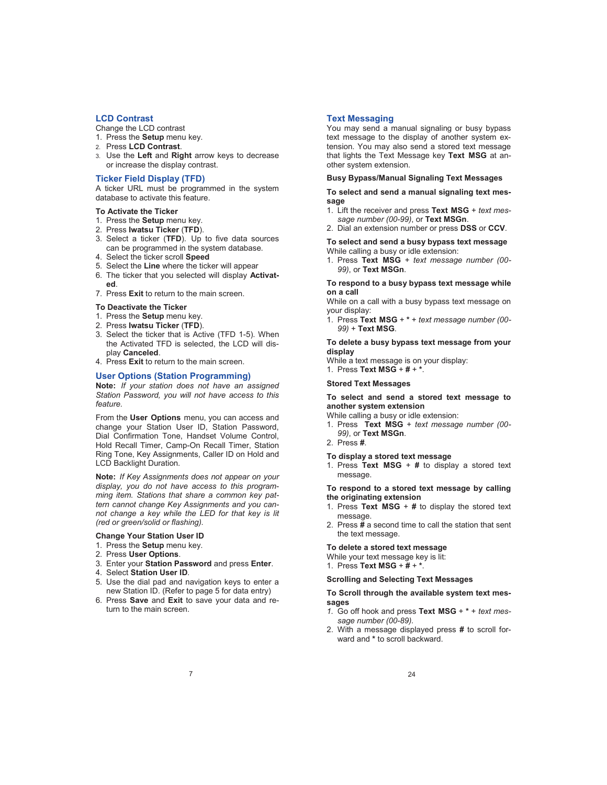## **LCD Contrast**

Change the LCD contrast

- 1. Press the **Setup** menu key.
- 2. Press **LCD Contrast**.
- 3. Use the **Left** and **Right** arrow keys to decrease or increase the display contrast.

## **Ticker Field Display (TFD)**

A ticker URL must be programmed in the system database to activate this feature.

#### **To Activate the Ticker**

- 1. Press the **Setup** menu key.
- 2. Press **Iwatsu Ticker** (**TFD**).
- 3. Select a ticker (**TFD**). Up to five data sources can be programmed in the system database.
- 4. Select the ticker scroll **Speed**
- 5. Select the **Line** where the ticker will appear 6. The ticker that you selected will display **Activated**.
- 7. Press **Exit** to return to the main screen.
- **To Deactivate the Ticker**
- 1. Press the **Setup** menu key.
- 2. Press **Iwatsu Ticker** (**TFD**).
- 3. Select the ticker that is Active (TFD 1-5). When the Activated TFD is selected, the LCD will display **Canceled**.
- 4. Press **Exit** to return to the main screen.

#### **User Options (Station Programming)**

**Note:** *If your station does not have an assigned Station Password, you will not have access to this feature.*

From the **User Options** menu, you can access and change your Station User ID, Station Password, Dial Confirmation Tone, Handset Volume Control, Hold Recall Timer, Camp-On Recall Timer, Station Ring Tone, Key Assignments, Caller ID on Hold and LCD Backlight Duration.

**Note:** *If Key Assignments does not appear on your display, you do not have access to this programming item. Stations that share a common key pattern cannot change Key Assignments and you cannot change a key while the LED for that key is lit (red or green/solid or flashing).*

#### **Change Your Station User ID**

- 1. Press the **Setup** menu key.
- 2. Press **User Options**.
- 3. Enter your **Station Password** and press **Enter**.
- 4. Select **Station User ID**.
- 5. Use the dial pad and navigation keys to enter a new Station ID. (Refer to page 5 for data entry)
- 6. Press **Save** and **Exit** to save your data and return to the main screen.

#### **Text Messaging**

You may send a manual signaling or busy bypass text message to the display of another system extension. You may also send a stored text message that lights the Text Message key **Text MSG** at another system extension.

## **Busy Bypass/Manual Signaling Text Messages**

**To select and send a manual signaling text message** 

- 1. Lift the receiver and press **Text MSG** + *text message number (00-99)*, or **Text MSGn**.
- 2. Dial an extension number or press **DSS** or **CCV**.

**To select and send a busy bypass text message**  While calling a busy or idle extension:

1. Press **Text MSG** + *text message number (00- 99)*, or **Text MSGn**.

#### **To respond to a busy bypass text message while on a call**

While on a call with a busy bypass text message on your display:

1. Press **Text MSG** + **\*** + *text message number (00- 99)* + **Text MSG**.

**To delete a busy bypass text message from your display**

While a text message is on your display:

1. Press **Text MSG** + **#** + **\***.

#### **Stored Text Messages**

#### **To select and send a stored text message to another system extension**

While calling a busy or idle extension:

- 1. Press **Text MSG** + *text message number (00- 99)*, or **Text MSGn**.
- 2. Press **#**.

#### **To display a stored text message**

1. Press **Text MSG** + **#** to display a stored text message.

**To respond to a stored text message by calling the originating extension**

- 1. Press **Text MSG** + **#** to display the stored text message.
- 2. Press **#** a second time to call the station that sent the text message.

#### **To delete a stored text message**

While your text message key is lit:

1. Press **Text MSG** + **#** + **\***.

#### **Scrolling and Selecting Text Messages**

#### **To Scroll through the available system text messages**

- *1.* Go off hook and press **Text MSG** + **\*** + *text message number (00-89).*
- 2. With a message displayed press **#** to scroll forward and **\*** to scroll backward.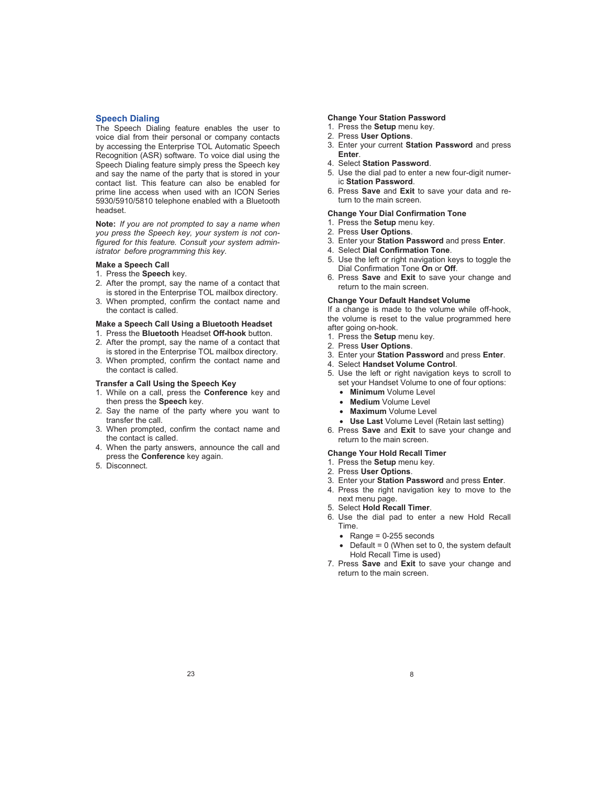#### **Speech Dialing**

The Speech Dialing feature enables the user to voice dial from their personal or company contacts by accessing the Enterprise TOL Automatic Speech Recognition (ASR) software. To voice dial using the Speech Dialing feature simply press the Speech key and say the name of the party that is stored in your contact list. This feature can also be enabled for prime line access when used with an ICON Series 5930/5910/5810 telephone enabled with a Bluetooth headset.

**Note:** *If you are not prompted to say a name when you press the Speech key, your system is not configured for this feature. Consult your system administrator before programming this key.*

#### **Make a Speech Call**

#### 1. Press the **Speech** key.

- 2. After the prompt, say the name of a contact that is stored in the Enterprise TOL mailbox directory.
- 3. When prompted, confirm the contact name and the contact is called.

#### **Make a Speech Call Using a Bluetooth Headset**

- 1. Press the **Bluetooth** Headset **Off-hook** button.
- 2. After the prompt, say the name of a contact that is stored in the Enterprise TOL mailbox directory.
- 3. When prompted, confirm the contact name and the contact is called.

#### **Transfer a Call Using the Speech Key**

- 1. While on a call, press the **Conference** key and then press the **Speech** key.
- 2. Say the name of the party where you want to transfer the call.
- 3. When prompted, confirm the contact name and the contact is called.
- 4. When the party answers, announce the call and press the **Conference** key again.
- 5. Disconnect.

#### **Change Your Station Password**

- 1. Press the **Setup** menu key.
- 2. Press **User Options**.
- 3. Enter your current **Station Password** and press **Enter**.
- 4. Select **Station Password**.
- 5. Use the dial pad to enter a new four-digit numeric **Station Password**.
- 6. Press **Save** and **Exit** to save your data and return to the main screen.

#### **Change Your Dial Confirmation Tone**

- 1. Press the **Setup** menu key.
- 2. Press **User Options**.
- 3. Enter your **Station Password** and press **Enter**.
- 4. Select **Dial Confirmation Tone**.
- 5. Use the left or right navigation keys to toggle the Dial Confirmation Tone **On** or **Off**.
- 6. Press **Save** and **Exit** to save your change and return to the main screen.

#### **Change Your Default Handset Volume**

If a change is made to the volume while off-hook, the volume is reset to the value programmed here after going on-hook.

- 1. Press the **Setup** menu key.
- 2. Press **User Options**.
- 3. Enter your **Station Password** and press **Enter**.
- 4. Select **Handset Volume Control**.
- 5. Use the left or right navigation keys to scroll to set your Handset Volume to one of four options:
	- **Minimum** Volume Level
	- **Medium** Volume Level
	- **Maximum** Volume Level
	- **Use Last** Volume Level (Retain last setting)
- 6. Press **Save** and **Exit** to save your change and return to the main screen.

#### **Change Your Hold Recall Timer**

- 1. Press the **Setup** menu key.
- 2. Press **User Options**.
- 3. Enter your **Station Password** and press **Enter**.
- 4. Press the right navigation key to move to the next menu page.
- 5. Select **Hold Recall Timer**.
- 6. Use the dial pad to enter a new Hold Recall Time.
	- $\bullet$  Range = 0-255 seconds
	- $\bullet$  Default = 0 (When set to 0, the system default Hold Recall Time is used)
- 7. Press **Save** and **Exit** to save your change and return to the main screen.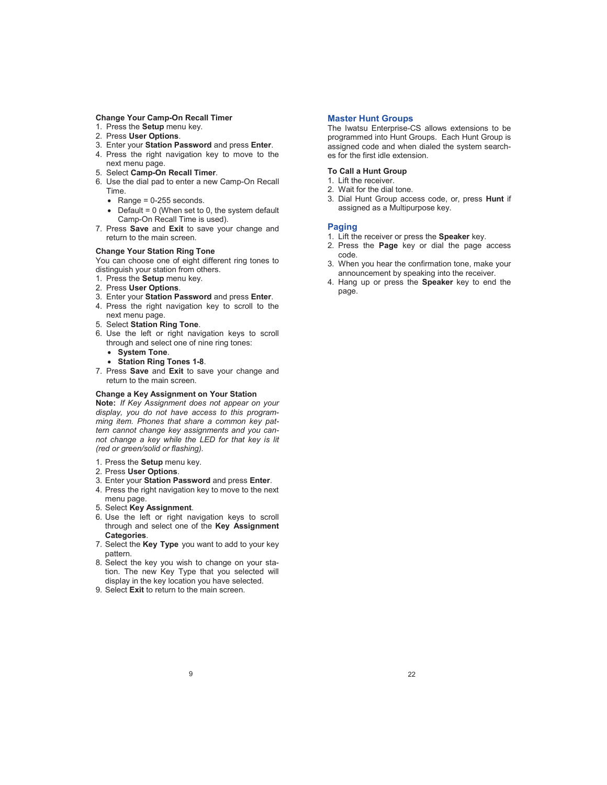#### **Change Your Camp-On Recall Timer**

- 1. Press the **Setup** menu key.
- 2. Press **User Options**.
- 3. Enter your **Station Password** and press **Enter**.
- 4. Press the right navigation key to move to the next menu page.
- 5. Select **Camp-On Recall Timer**.
- 6. Use the dial pad to enter a new Camp-On Recall Time.
	- $\bullet$  Range = 0-255 seconds.
	- $\bullet$  Default = 0 (When set to 0, the system default Camp-On Recall Time is used).
- 7. Press **Save** and **Exit** to save your change and return to the main screen.

#### **Change Your Station Ring Tone**

You can choose one of eight different ring tones to distinguish your station from others.

- 1. Press the **Setup** menu key.
- 2. Press **User Options**.
- 3. Enter your **Station Password** and press **Enter**.
- 4. Press the right navigation key to scroll to the next menu page.
- 5. Select **Station Ring Tone**.
- 6. Use the left or right navigation keys to scroll through and select one of nine ring tones:
	- **System Tone**.
	- **Station Ring Tones 1-8**.
- 7. Press **Save** and **Exit** to save your change and return to the main screen.

#### **Change a Key Assignment on Your Station**

**Note:** *If Key Assignment does not appear on your display, you do not have access to this programming item. Phones that share a common key pattern cannot change key assignments and you cannot change a key while the LED for that key is lit (red or green/solid or flashing).*

- 1. Press the **Setup** menu key.
- 2. Press **User Options**.
- 3. Enter your **Station Password** and press **Enter**.
- 4. Press the right navigation key to move to the next menu page.
- 5. Select **Key Assignment**.
- 6. Use the left or right navigation keys to scroll through and select one of the **Key Assignment Categories**.
- 7. Select the **Key Type** you want to add to your key pattern.
- 8. Select the key you wish to change on your station. The new Key Type that you selected will display in the key location you have selected.
- 9. Select **Exit** to return to the main screen.

#### **Master Hunt Groups**

The Iwatsu Enterprise-CS allows extensions to be programmed into Hunt Groups. Each Hunt Group is assigned code and when dialed the system searches for the first idle extension.

#### **To Call a Hunt Group**

- 1. Lift the receiver.
- 2. Wait for the dial tone.
- 3. Dial Hunt Group access code, or, press **Hunt** if assigned as a Multipurpose key.

#### **Paging**

- 1. Lift the receiver or press the **Speaker** key.
- 2. Press the **Page** key or dial the page access code.
- 3. When you hear the confirmation tone, make your announcement by speaking into the receiver.
- 4. Hang up or press the **Speaker** key to end the page.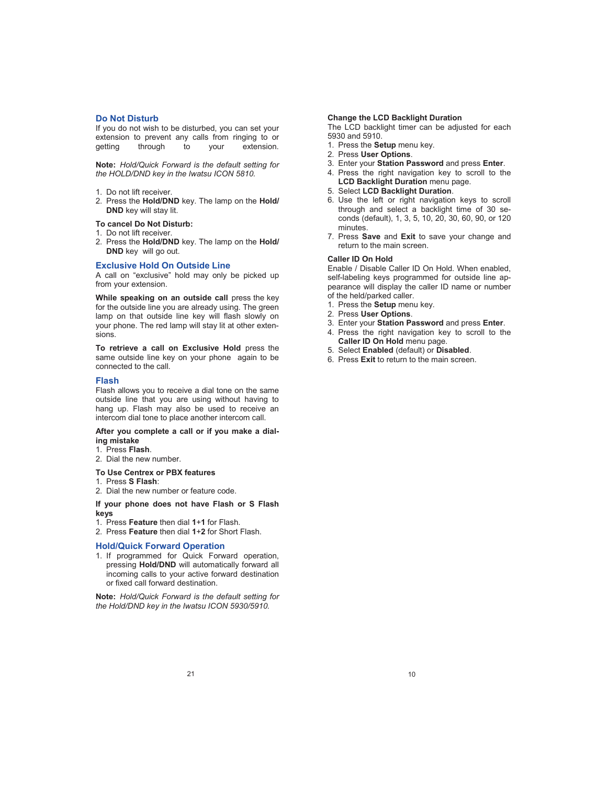#### **Do Not Disturb**

If you do not wish to be disturbed, you can set your extension to prevent any calls from ringing to or getting through to your extension.

**Note:** *Hold/Quick Forward is the default setting for the HOLD/DND key in the Iwatsu ICON 5810.*

- 1. Do not lift receiver.
- 2. Press the **Hold/DND** key. The lamp on the **Hold/ DND** key will stay lit.

## **To cancel Do Not Disturb:**

- 1. Do not lift receiver.
- 2. Press the **Hold/DND** key. The lamp on the **Hold/ DND** key will go out.

#### **Exclusive Hold On Outside Line**

A call on "exclusive" hold may only be picked up from your extension.

While speaking on an outside call press the key for the outside line you are already using. The green lamp on that outside line key will flash slowly on your phone. The red lamp will stay lit at other extensions.

**To retrieve a call on Exclusive Hold** press the same outside line key on your phone again to be connected to the call.

#### **Flash**

Flash allows you to receive a dial tone on the same outside line that you are using without having to hang up. Flash may also be used to receive an intercom dial tone to place another intercom call.

#### **After you complete a call or if you make a dialing mistake**

- 1. Press **Flash**.
- 2. Dial the new number.
- **To Use Centrex or PBX features**
- 1. Press **S Flash**:
- 2. Dial the new number or feature code.
- **If your phone does not have Flash or S Flash keys**
- 1. Press **Feature** then dial **1**+**1** for Flash.
- 2. Press **Feature** then dial **1**+**2** for Short Flash.

#### **Hold/Quick Forward Operation**

1. If programmed for Quick Forward operation, pressing **Hold/DND** will automatically forward all incoming calls to your active forward destination or fixed call forward destination.

**Note:** *Hold/Quick Forward is the default setting for the Hold/DND key in the Iwatsu ICON 5930/5910.*

#### **Change the LCD Backlight Duration**

The LCD backlight timer can be adjusted for each 5930 and 5910.

- 1. Press the **Setup** menu key.
- 2. Press **User Options**.
- 3. Enter your **Station Password** and press **Enter**.
- 4. Press the right navigation key to scroll to the **LCD Backlight Duration** menu page.
- 5. Select **LCD Backlight Duration**.
- 6. Use the left or right navigation keys to scroll through and select a backlight time of 30 seconds (default), 1, 3, 5, 10, 20, 30, 60, 90, or 120 minutes.
- 7. Press **Save** and **Exit** to save your change and return to the main screen.

#### **Caller ID On Hold**

Enable / Disable Caller ID On Hold. When enabled, self-labeling keys programmed for outside line appearance will display the caller ID name or number of the held/parked caller.

- 1. Press the **Setup** menu key.
- 2. Press **User Options**.
- 3. Enter your **Station Password** and press **Enter**.
- 4. Press the right navigation key to scroll to the Caller ID On Hold menu page.
- 5. Select **Enabled** (default) or **Disabled**.
- 6. Press **Exit** to return to the main screen.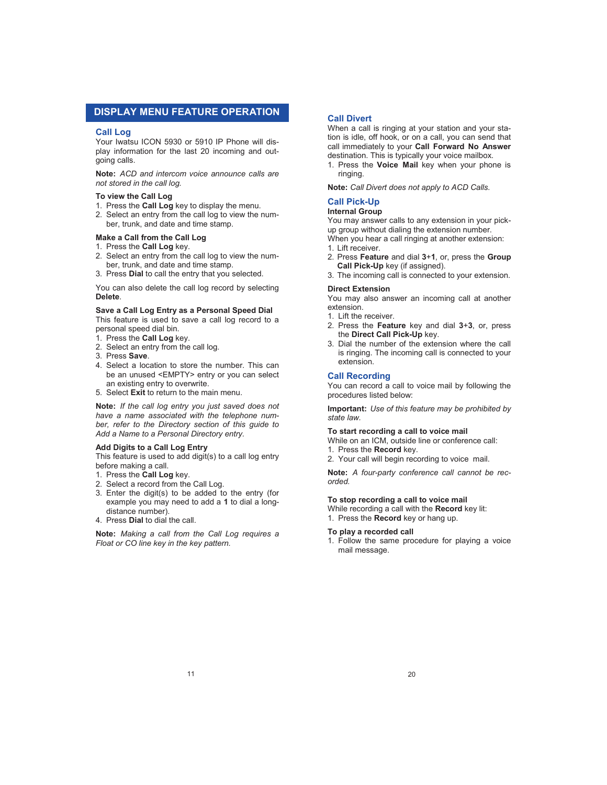## **DISPLAY MENU FEATURE OPERATION**

#### **Call Log**

Your Iwatsu ICON 5930 or 5910 IP Phone will display information for the last 20 incoming and outgoing calls.

**Note:** *ACD and intercom voice announce calls are not stored in the call log.* 

#### **To view the Call Log**

- 1. Press the **Call Log** key to display the menu.
- 2. Select an entry from the call log to view the number, trunk, and date and time stamp.

#### **Make a Call from the Call Log**

- 1. Press the **Call Log** key.
- 2. Select an entry from the call log to view the number, trunk, and date and time stamp.
- 3. Press **Dial** to call the entry that you selected.

You can also delete the call log record by selecting **Delete**.

#### **Save a Call Log Entry as a Personal Speed Dial**

This feature is used to save a call log record to a personal speed dial bin.

- 1. Press the **Call Log** key.
- 2. Select an entry from the call log.
- 3. Press **Save**.
- 4. Select a location to store the number. This can be an unused <EMPTY> entry or you can select an existing entry to overwrite.

5. Select **Exit** to return to the main menu.

**Note:** *If the call log entry you just saved does not have a name associated with the telephone number, refer to the Directory section of this guide to Add a Name to a Personal Directory entry.* 

#### **Add Digits to a Call Log Entry**

This feature is used to add digit(s) to a call log entry before making a call.

- 1. Press the **Call Log** key.
- 2. Select a record from the Call Log.
- 3. Enter the digit(s) to be added to the entry (for example you may need to add a **1** to dial a longdistance number).
- 4. Press **Dial** to dial the call.

**Note:** *Making a call from the Call Log requires a Float or CO line key in the key pattern.* 

#### **Call Divert**

When a call is ringing at your station and your station is idle, off hook, or on a call, you can send that call immediately to your **Call Forward No Answer** destination. This is typically your voice mailbox.

1. Press the **Voice Mail** key when your phone is ringing.

**Note:** *Call Divert does not apply to ACD Calls.* 

#### **Call Pick-Up**

#### **Internal Group**

You may answer calls to any extension in your pickup group without dialing the extension number.

- When you hear a call ringing at another extension:
- 1. Lift receiver.
- 2. Press **Feature** and dial **3**+**1**, or, press the **Group Call Pick-Up** key (if assigned).
- 3. The incoming call is connected to your extension.

#### **Direct Extension**

You may also answer an incoming call at another extension.

- 1. Lift the receiver.
- 2. Press the **Feature** key and dial **3**+**3**, or, press the **Direct Call Pick-Up** key.
- 3. Dial the number of the extension where the call is ringing. The incoming call is connected to your extension.

#### **Call Recording**

You can record a call to voice mail by following the procedures listed below:

**Important:** *Use of this feature may be prohibited by state law.*

#### **To start recording a call to voice mail**

While on an ICM, outside line or conference call:

- 1. Press the **Record** key.
- 2. Your call will begin recording to voice mail.

**Note:** *A four-party conference call cannot be recorded.* 

#### **To stop recording a call to voice mail**

- While recording a call with the **Record** key lit:
- 1. Press the **Record** key or hang up.

#### **To play a recorded call**

1. Follow the same procedure for playing a voice mail message.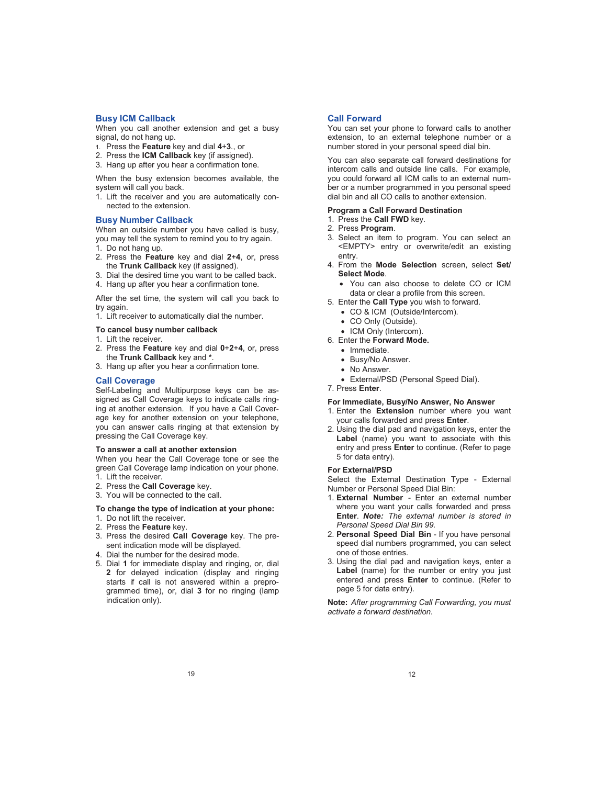#### **Busy ICM Callback**

When you call another extension and get a busy signal, do not hang up.

- 1. Press the **Feature** key and dial **4**+**3**., or
- 2. Press the **ICM Callback** key (if assigned).
- 3. Hang up after you hear a confirmation tone.

When the busy extension becomes available, the system will call you back.

1. Lift the receiver and you are automatically connected to the extension.

#### **Busy Number Callback**

When an outside number you have called is busy, you may tell the system to remind you to try again. 1. Do not hang up.

- 
- 2. Press the **Feature** key and dial **2**+**4**, or, press the **Trunk Callback** key (if assigned).
- 3. Dial the desired time you want to be called back.
- 4. Hang up after you hear a confirmation tone.

After the set time, the system will call you back to try again.

1. Lift receiver to automatically dial the number.

#### **To cancel busy number callback**

- 1. Lift the receiver.
- 2. Press the **Feature** key and dial **0**+**2**+**4**, or, press the **Trunk Callback** key and **\***.
- 3. Hang up after you hear a confirmation tone.

## **Call Coverage**

Self-Labeling and Multipurpose keys can be assigned as Call Coverage keys to indicate calls ringing at another extension. If you have a Call Coverage key for another extension on your telephone, you can answer calls ringing at that extension by pressing the Call Coverage key.

#### **To answer a call at another extension**

When you hear the Call Coverage tone or see the green Call Coverage lamp indication on your phone. 1. Lift the receiver.

- 2. Press the **Call Coverage** key.
- 3. You will be connected to the call.

#### **To change the type of indication at your phone:**

- 1. Do not lift the receiver.
- 2. Press the **Feature** key.
- 3. Press the desired **Call Coverage** key. The present indication mode will be displayed.
- 4. Dial the number for the desired mode.
- 5. Dial **1** for immediate display and ringing, or, dial **2** for delayed indication (display and ringing starts if call is not answered within a preprogrammed time), or, dial **3** for no ringing (lamp indication only).

#### **Call Forward**

You can set your phone to forward calls to another extension, to an external telephone number or a number stored in your personal speed dial bin.

You can also separate call forward destinations for intercom calls and outside line calls. For example, you could forward all ICM calls to an external number or a number programmed in you personal speed dial bin and all CO calls to another extension.

## **Program a Call Forward Destination**

- 1. Press the **Call FWD** key.
- 2. Press **Program**.
- 3. Select an item to program. You can select an <EMPTY> entry or overwrite/edit an existing entry.
- 4. From the **Mode Selection** screen, select **Set/ Select Mode**.
	- You can also choose to delete CO or ICM data or clear a profile from this screen.
- 5. Enter the **Call Type** you wish to forward.
	- CO & ICM (Outside/Intercom).
	- CO Only (Outside).
- ICM Only (Intercom).
- 6. Enter the **Forward Mode.**
	- Immediate.
	- Busy/No Answer.
	- No Answer.
	- External/PSD (Personal Speed Dial).
- 7. Press **Enter**.

#### **For Immediate, Busy/No Answer, No Answer**

- 1. Enter the **Extension** number where you want your calls forwarded and press **Enter**.
- 2. Using the dial pad and navigation keys, enter the **Label** (name) you want to associate with this entry and press **Enter** to continue. (Refer to page 5 for data entry).

#### **For External/PSD**

Select the External Destination Type - External Number or Personal Speed Dial Bin:

- 1. **External Number**  Enter an external number where you want your calls forwarded and press **Enter**. *Note: The external number is stored in Personal Speed Dial Bin 99.*
- 2. **Personal Speed Dial Bin** If you have personal speed dial numbers programmed, you can select one of those entries.
- 3. Using the dial pad and navigation keys, enter a **Label** (name) for the number or entry you just entered and press **Enter** to continue. (Refer to page 5 for data entry).

**Note:** *After programming Call Forwarding, you must activate a forward destination.*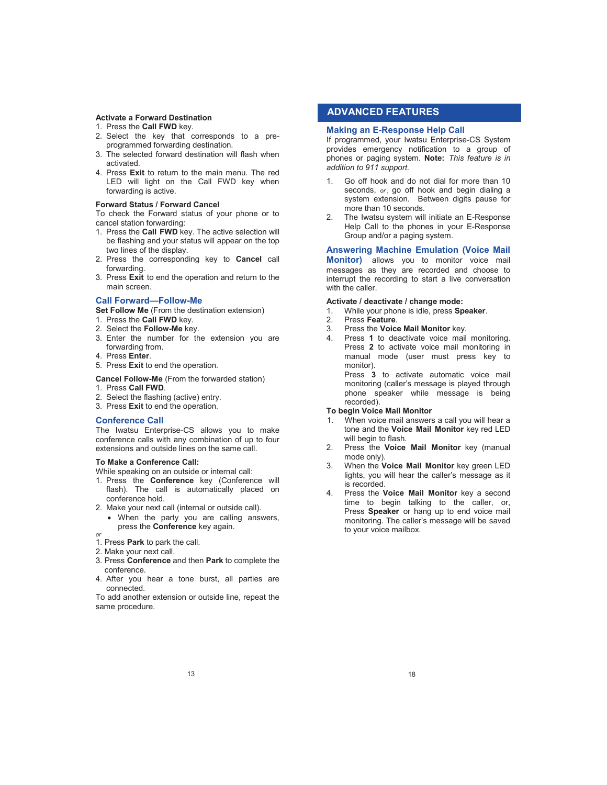### **Activate a Forward Destination**

- 1. Press the **Call FWD** key.
- 2. Select the key that corresponds to a preprogrammed forwarding destination.
- 3. The selected forward destination will flash when activated.
- 4. Press **Exit** to return to the main menu. The red LED will light on the Call FWD key when forwarding is active.

#### **Forward Status / Forward Cancel**

To check the Forward status of your phone or to cancel station forwarding:

- 1. Press the **Call FWD** key. The active selection will be flashing and your status will appear on the top two lines of the display.
- 2. Press the corresponding key to **Cancel** call forwarding.
- 3. Press **Exit** to end the operation and return to the main screen.

#### **Call Forward—Follow-Me**

**Set Follow Me** (From the destination extension)

- 1. Press the **Call FWD** key.
- 2. Select the **Follow-Me** key.
- 3. Enter the number for the extension you are forwarding from.
- 4. Press **Enter**.
- 5. Press **Exit** to end the operation.

**Cancel Follow-Me** (From the forwarded station)

- 1. Press **Call FWD**.
- 2. Select the flashing (active) entry.
- 3. Press **Exit** to end the operation.

#### **Conference Call**

The Iwatsu Enterprise-CS allows you to make conference calls with any combination of up to four extensions and outside lines on the same call.

#### **To Make a Conference Call:**

While speaking on an outside or internal call:

- 1. Press the **Conference** key (Conference will flash). The call is automatically placed on conference hold.
- 2. Make your next call (internal or outside call).
- When the party you are calling answers, press the **Conference** key again.
- *or*
- 1. Press **Park** to park the call.
- 2. Make your next call.
- 3. Press **Conference** and then **Park** to complete the conference.
- 4. After you hear a tone burst, all parties are connected.

To add another extension or outside line, repeat the same procedure.

## **ADVANCED FEATURES**

#### **Making an E-Response Help Call**

If programmed, your Iwatsu Enterprise-CS System provides emergency notification to a group of phones or paging system. **Note:** *This feature is in addition to 911 support.*

- 1. Go off hook and do not dial for more than 10 seconds, *or*, go off hook and begin dialing a system extension. Between digits pause for more than 10 seconds.
- 2. The Iwatsu system will initiate an E-Response Help Call to the phones in your E-Response Group and/or a paging system.

#### **Answering Machine Emulation (Voice Mail**

**Monitor)** allows you to monitor voice mail messages as they are recorded and choose to interrupt the recording to start a live conversation with the caller

#### **Activate / deactivate / change mode:**

- 1. While your phone is idle, press **Speaker**.
- 2. Press **Feature**.
- 3. Press the **Voice Mail Monitor** key.
- 4. Press **1** to deactivate voice mail monitoring. Press **2** to activate voice mail monitoring in manual mode (user must press key to monitor).

Press **3** to activate automatic voice mail monitoring (caller's message is played through phone speaker while message is being recorded).

#### **To begin Voice Mail Monitor**

- 1. When voice mail answers a call you will hear a tone and the **Voice Mail Monitor** key red LED will begin to flash.
- 2. Press the **Voice Mail Monitor** key (manual mode only).
- 3. When the **Voice Mail Monitor** key green LED lights, you will hear the caller's message as it is recorded.
- 4. Press the **Voice Mail Monitor** key a second time to begin talking to the caller, or, Press **Speaker** or hang up to end voice mail monitoring. The caller's message will be saved to your voice mailbox.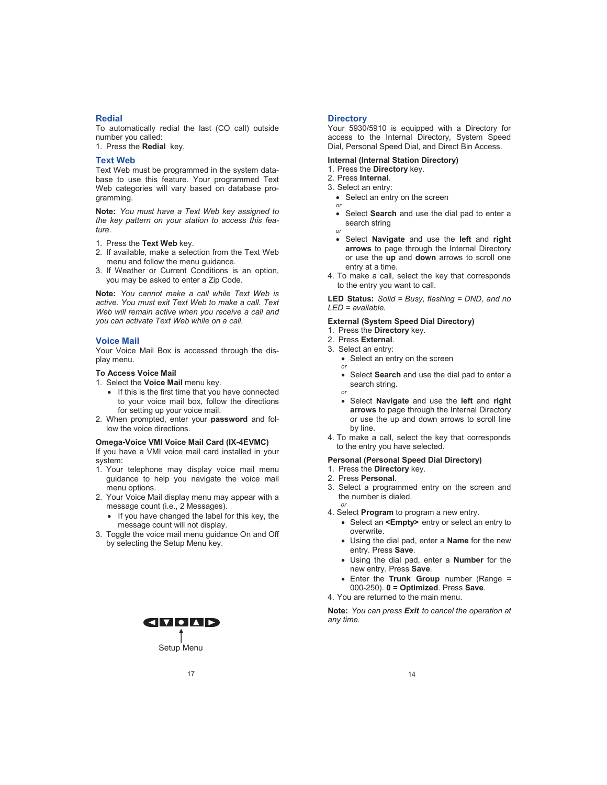#### **Redial**

To automatically redial the last (CO call) outside number you called:

1. Press the **Redial** key.

## **Text Web**

Text Web must be programmed in the system database to use this feature. Your programmed Text Web categories will vary based on database programming.

**Note:** *You must have a Text Web key assigned to the key pattern on your station to access this feature.*

- 1. Press the **Text Web** key.
- 2. If available, make a selection from the Text Web menu and follow the menu guidance.
- 3. If Weather or Current Conditions is an option, you may be asked to enter a Zip Code.

**Note:** *You cannot make a call while Text Web is active. You must exit Text Web to make a call. Text Web will remain active when you receive a call and you can activate Text Web while on a call.*

#### **Voice Mail**

Your Voice Mail Box is accessed through the display menu.

#### **To Access Voice Mail**

- 1. Select the **Voice Mail** menu key.
	- If this is the first time that you have connected to your voice mail box, follow the directions for setting up your voice mail.
- 2. When prompted, enter your **password** and follow the voice directions.

#### **Omega-Voice VMI Voice Mail Card (IX-4EVMC)**

If you have a VMI voice mail card installed in your system:

- 1. Your telephone may display voice mail menu guidance to help you navigate the voice mail menu options.
- 2. Your Voice Mail display menu may appear with a message count (i.e., 2 Messages).
	- If you have changed the label for this key, the message count will not display.
- 3. Toggle the voice mail menu guidance On and Off by selecting the Setup Menu key.



#### **Directory**

Your 5930/5910 is equipped with a Directory for access to the Internal Directory, System Speed Dial, Personal Speed Dial, and Direct Bin Access.

#### **Internal (Internal Station Directory)**

- 1. Press the **Directory** key.
- 2. Press **Internal**.
- 3. Select an entry:
	- Select an entry on the screen *or*
	- Select **Search** and use the dial pad to enter a search string *or*
		-
	- Select **Navigate** and use the **left** and **right arrows** to page through the Internal Directory or use the **up** and **down** arrows to scroll one entry at a time.
- 4. To make a call, select the key that corresponds to the entry you want to call.

**LED Status:** *Solid = Busy, flashing = DND, and no LED = available.* 

#### **External (System Speed Dial Directory)**

- 1. Press the **Directory** key.
- 2. Press **External**.
- 3. Select an entry:
	- Select an entry on the screen *or*
	- Select **Search** and use the dial pad to enter a search string.
	- *or* Select **Navigate** and use the **left** and **right arrows** to page through the Internal Directory or use the up and down arrows to scroll line by line.
- 4. To make a call, select the key that corresponds to the entry you have selected.

#### **Personal (Personal Speed Dial Directory)**

- 1. Press the **Directory** key.
- 2. Press **Personal**.

*or*

- 3. Select a programmed entry on the screen and the number is dialed.
- 4. Select **Program** to program a new entry.
	- Select an **<Empty>** entry or select an entry to overwrite.
	- Using the dial pad, enter a **Name** for the new entry. Press **Save**.
	- Using the dial pad, enter a **Number** for the new entry. Press **Save**.
	- Enter the **Trunk Group** number (Range = 000-250). **0 = Optimized**. Press **Save**.
- 4. You are returned to the main menu.

**Note:** *You can press Exit to cancel the operation at any time.*